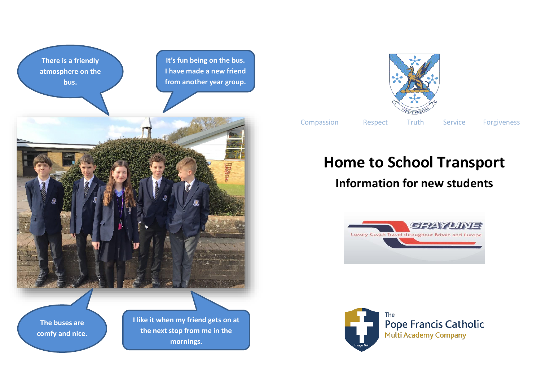**There is a friendly atmosphere on the bus.**

**It's fun being on the bus. I have made a new friend from another year group.**



**The buses are comfy and nice.** **I like it when my friend gets on at the next stop from me in the mornings.**



Compassion Respect Truth Service Forgiveness

## **Home to School Transport**

## **Information for new students**